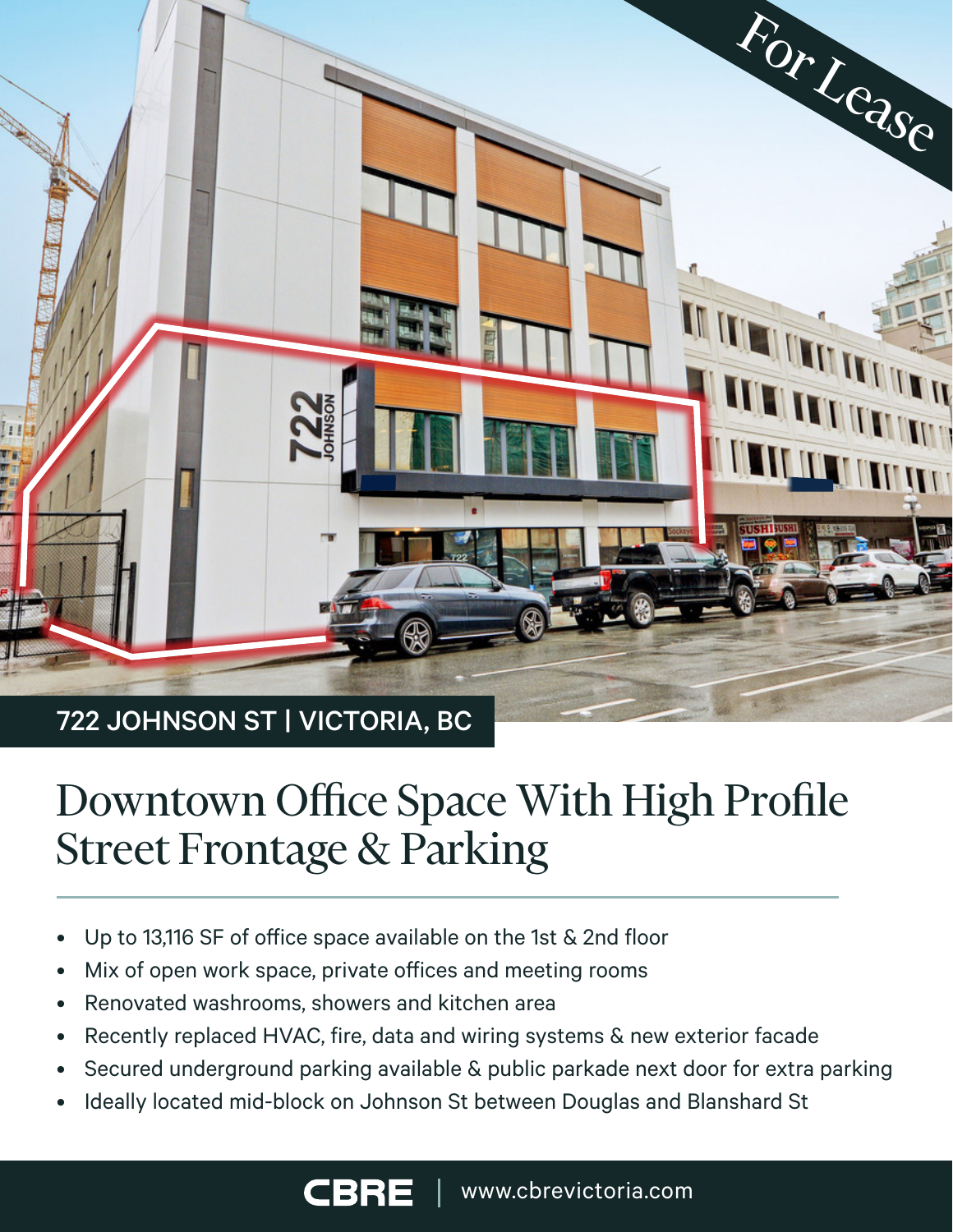

# Downtown Office Space With High Profile

- Up to 13,116 SF of office space available on the 1st & 2nd floor
- Mix of open work space, private offices and meeting rooms
- Renovated washrooms, showers and kitchen area

Street Frontage & Parking

- Recently replaced HVAC, fire, data and wiring systems & new exterior facade
- Secured underground parking available & public parkade next door for extra parking
- Ideally located mid-block on Johnson St between Douglas and Blanshard St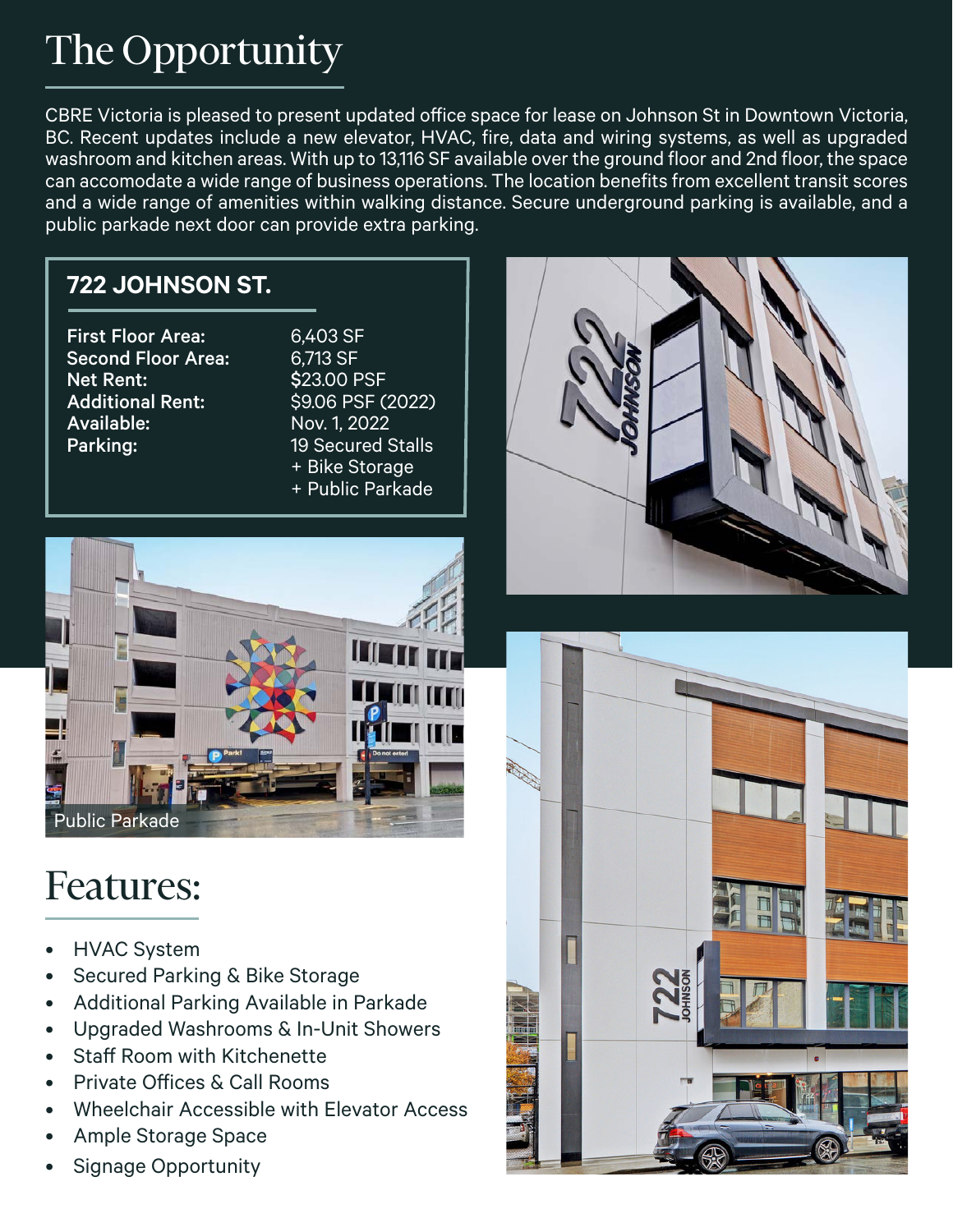# The Opportunity

CBRE Victoria is pleased to present updated office space for lease on Johnson St in Downtown Victoria, BC. Recent updates include a new elevator, HVAC, fire, data and wiring systems, as well as upgraded washroom and kitchen areas. With up to 13,116 SF available over the ground floor and 2nd floor, the space can accomodate a wide range of business operations. The location benefits from excellent transit scores and a wide range of amenities within walking distance. Secure underground parking is available, and a public parkade next door can provide extra parking.

#### **722 JOHNSON ST.**

First Floor Area: 6,403 SF Second Floor Area: 6,713 SF Net Rent: \$23.00 PSF Additional Rent: \$9.06 PSF (2022) Available: Nov. 1, 2022

Parking: 19 Secured Stalls<br>+ Bike Storage + + Bike Storage<br>+ Public Parkade





# Features:

- HVAC System
- Secured Parking & Bike Storage
- Additional Parking Available in Parkade
- Upgraded Washrooms & In-Unit Showers
- Staff Room with Kitchenette
- Private Offices & Call Rooms
- Wheelchair Accessible with Elevator Access
- Ample Storage Space
- Signage Opportunity

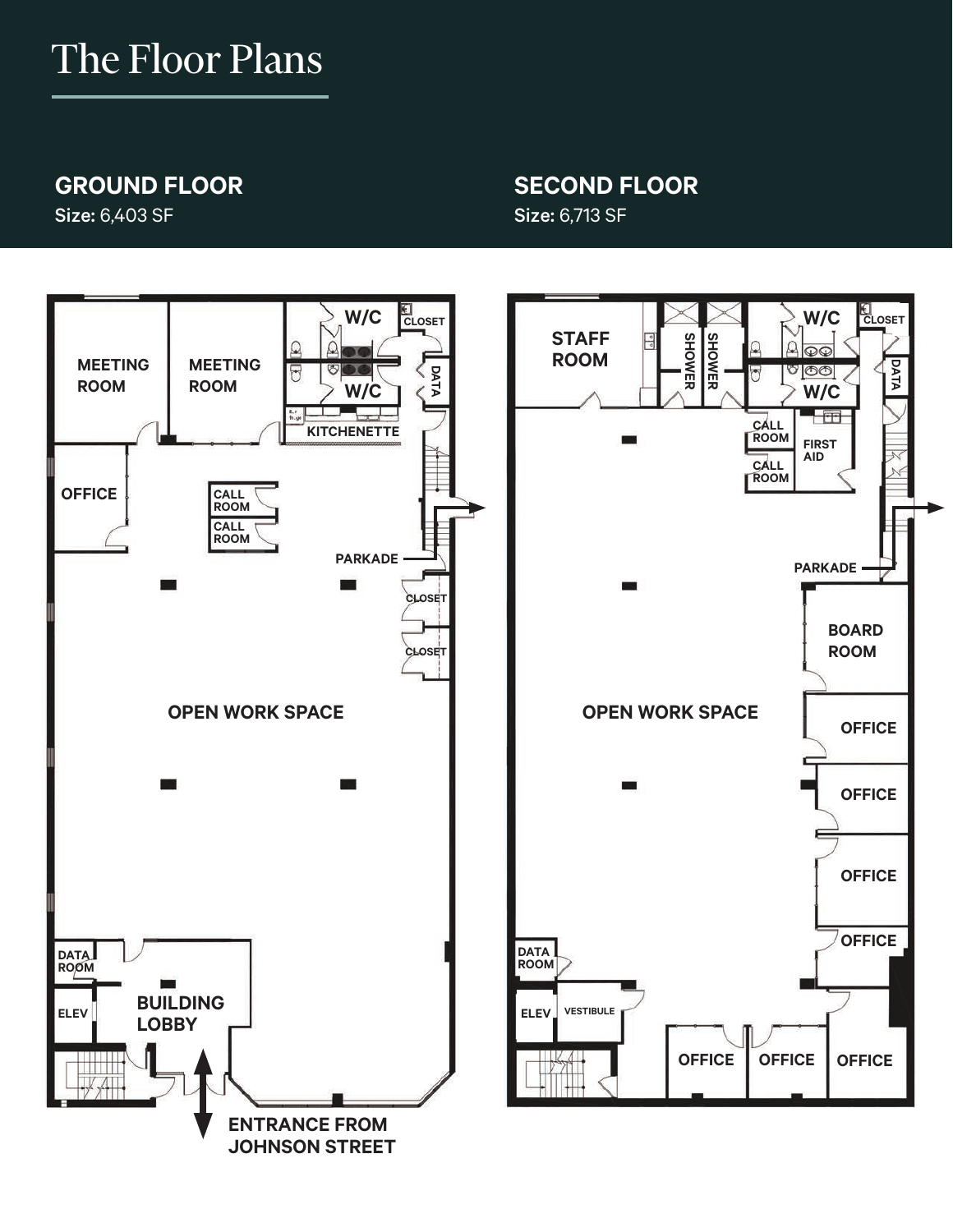# The Floor Plans

#### **GROUND FLOOR**

Size: 6,403 SF

#### **SECOND FLOOR** Size: 6,713 SF